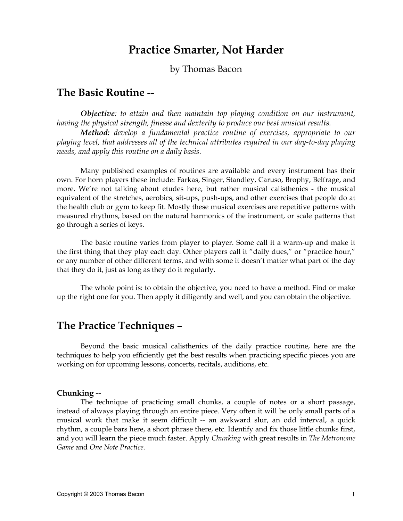# **Practice Smarter, Not Harder**

by Thomas Bacon

# **The Basic Routine --**

*Objective: to attain and then maintain top playing condition on our instrument, having the physical strength, finesse and dexterity to produce our best musical results.* 

*Method: develop a fundamental practice routine of exercises, appropriate to our playing level, that addresses all of the technical attributes required in our day-to-day playing needs, and apply this routine on a daily basis.* 

Many published examples of routines are available and every instrument has their own. For horn players these include: Farkas, Singer, Standley, Caruso, Brophy, Belfrage, and more. We're not talking about etudes here, but rather musical calisthenics - the musical equivalent of the stretches, aerobics, sit-ups, push-ups, and other exercises that people do at the health club or gym to keep fit. Mostly these musical exercises are repetitive patterns with measured rhythms, based on the natural harmonics of the instrument, or scale patterns that go through a series of keys.

 The basic routine varies from player to player. Some call it a warm-up and make it the first thing that they play each day. Other players call it "daily dues," or "practice hour," or any number of other different terms, and with some it doesn't matter what part of the day that they do it, just as long as they do it regularly.

 The whole point is: to obtain the objective, you need to have a method. Find or make up the right one for you. Then apply it diligently and well, and you can obtain the objective.

# **The Practice Techniques –**

Beyond the basic musical calisthenics of the daily practice routine, here are the techniques to help you efficiently get the best results when practicing specific pieces you are working on for upcoming lessons, concerts, recitals, auditions, etc.

#### **Chunking --**

The technique of practicing small chunks, a couple of notes or a short passage, instead of always playing through an entire piece. Very often it will be only small parts of a musical work that make it seem difficult -- an awkward slur, an odd interval, a quick rhythm, a couple bars here, a short phrase there, etc. Identify and fix those little chunks first, and you will learn the piece much faster. Apply *Chunking* with great results in *The Metronome Game* and *One Note Practice*.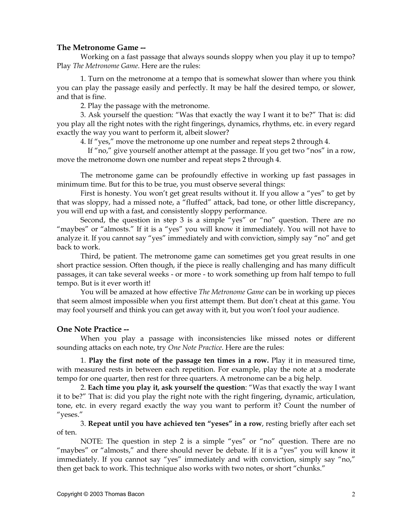### **The Metronome Game --**

 Working on a fast passage that always sounds sloppy when you play it up to tempo? Play *The Metronome Game*. Here are the rules:

1. Turn on the metronome at a tempo that is somewhat slower than where you think you can play the passage easily and perfectly. It may be half the desired tempo, or slower, and that is fine.

2. Play the passage with the metronome.

3. Ask yourself the question: "Was that exactly the way I want it to be?" That is: did you play all the right notes with the right fingerings, dynamics, rhythms, etc. in every regard exactly the way you want to perform it, albeit slower?

4. If "yes," move the metronome up one number and repeat steps 2 through 4.

 If "no," give yourself another attempt at the passage. If you get two "nos" in a row, move the metronome down one number and repeat steps 2 through 4.

The metronome game can be profoundly effective in working up fast passages in minimum time. But for this to be true, you must observe several things:

First is honesty. You won't get great results without it. If you allow a "yes" to get by that was sloppy, had a missed note, a "fluffed" attack, bad tone, or other little discrepancy, you will end up with a fast, and consistently sloppy performance.

Second, the question in step 3 is a simple "yes" or "no" question. There are no "maybes" or "almosts." If it is a "yes" you will know it immediately. You will not have to analyze it. If you cannot say "yes" immediately and with conviction, simply say "no" and get back to work.

Third, be patient. The metronome game can sometimes get you great results in one short practice session. Often though, if the piece is really challenging and has many difficult passages, it can take several weeks - or more - to work something up from half tempo to full tempo. But is it ever worth it!

You will be amazed at how effective *The Metronome Game* can be in working up pieces that seem almost impossible when you first attempt them. But don't cheat at this game. You may fool yourself and think you can get away with it, but you won't fool your audience.

### **One Note Practice --**

When you play a passage with inconsistencies like missed notes or different sounding attacks on each note, try *One Note Practice*. Here are the rules:

1. **Play the first note of the passage ten times in a row.** Play it in measured time, with measured rests in between each repetition. For example, play the note at a moderate tempo for one quarter, then rest for three quarters. A metronome can be a big help.

2. **Each time you play it, ask yourself the question**: "Was that exactly the way I want it to be?" That is: did you play the right note with the right fingering, dynamic, articulation, tone, etc. in every regard exactly the way you want to perform it? Count the number of "yeses."

3. **Repeat until you have achieved ten "yeses" in a row**, resting briefly after each set of ten.

NOTE: The question in step 2 is a simple "yes" or "no" question. There are no "maybes" or "almosts," and there should never be debate. If it is a "yes" you will know it immediately. If you cannot say "yes" immediately and with conviction, simply say "no," then get back to work. This technique also works with two notes, or short "chunks."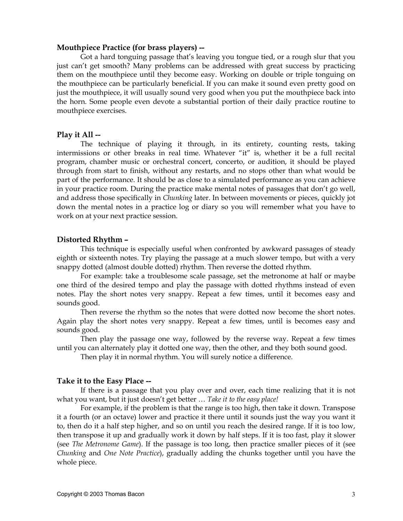#### **Mouthpiece Practice (for brass players) --**

Got a hard tonguing passage that's leaving you tongue tied, or a rough slur that you just can't get smooth? Many problems can be addressed with great success by practicing them on the mouthpiece until they become easy. Working on double or triple tonguing on the mouthpiece can be particularly beneficial. If you can make it sound even pretty good on just the mouthpiece, it will usually sound very good when you put the mouthpiece back into the horn. Some people even devote a substantial portion of their daily practice routine to mouthpiece exercises.

#### **Play it All --**

The technique of playing it through, in its entirety, counting rests, taking intermissions or other breaks in real time. Whatever "it" is, whether it be a full recital program, chamber music or orchestral concert, concerto, or audition, it should be played through from start to finish, without any restarts, and no stops other than what would be part of the performance. It should be as close to a simulated performance as you can achieve in your practice room. During the practice make mental notes of passages that don't go well, and address those specifically in *Chunking* later. In between movements or pieces, quickly jot down the mental notes in a practice log or diary so you will remember what you have to work on at your next practice session.

#### **Distorted Rhythm –**

 This technique is especially useful when confronted by awkward passages of steady eighth or sixteenth notes. Try playing the passage at a much slower tempo, but with a very snappy dotted (almost double dotted) rhythm. Then reverse the dotted rhythm.

 For example: take a troublesome scale passage, set the metronome at half or maybe one third of the desired tempo and play the passage with dotted rhythms instead of even notes. Play the short notes very snappy. Repeat a few times, until it becomes easy and sounds good.

 Then reverse the rhythm so the notes that were dotted now become the short notes. Again play the short notes very snappy. Repeat a few times, until is becomes easy and sounds good.

 Then play the passage one way, followed by the reverse way. Repeat a few times until you can alternately play it dotted one way, then the other, and they both sound good.

Then play it in normal rhythm. You will surely notice a difference.

#### **Take it to the Easy Place --**

If there is a passage that you play over and over, each time realizing that it is not what you want, but it just doesn't get better … *Take it to the easy place!* 

For example, if the problem is that the range is too high, then take it down. Transpose it a fourth (or an octave) lower and practice it there until it sounds just the way you want it to, then do it a half step higher, and so on until you reach the desired range. If it is too low, then transpose it up and gradually work it down by half steps. If it is too fast, play it slower (see *The Metronome Game*). If the passage is too long, then practice smaller pieces of it (see *Chunking* and *One Note Practice*), gradually adding the chunks together until you have the whole piece.